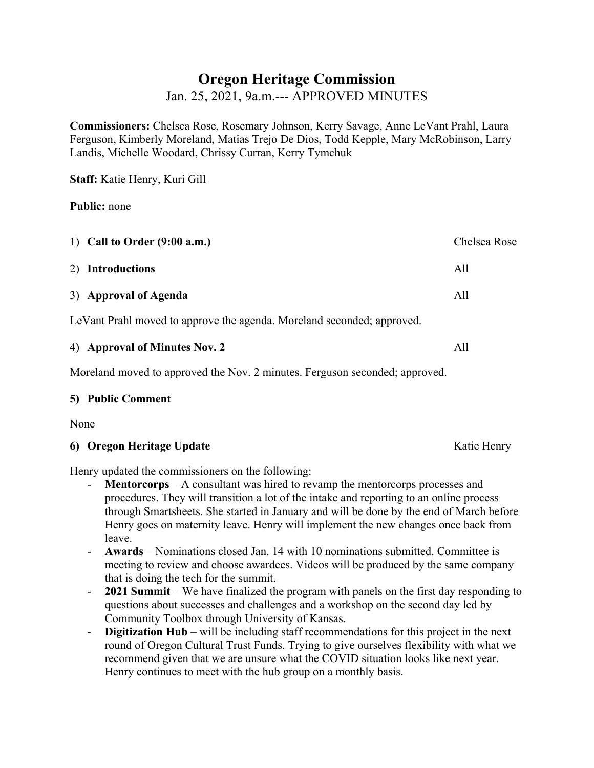# **Oregon Heritage Commission**

Jan. 25, 2021, 9a.m.--- APPROVED MINUTES

**Commissioners:** Chelsea Rose, Rosemary Johnson, Kerry Savage, Anne LeVant Prahl, Laura Ferguson, Kimberly Moreland, Matias Trejo De Dios, Todd Kepple, Mary McRobinson, Larry Landis, Michelle Woodard, Chrissy Curran, Kerry Tymchuk

**Staff:** Katie Henry, Kuri Gill

**Public:** none

| 1) Call to Order $(9:00$ a.m.)                                         | Chelsea Rose |
|------------------------------------------------------------------------|--------------|
| 2) Introductions                                                       | All          |
| 3) Approval of Agenda                                                  | All          |
| LeVant Prahl moved to approve the agenda. Moreland seconded; approved. |              |

| 4) Approval of Minutes Nov. 2 |  |
|-------------------------------|--|
|                               |  |

Moreland moved to approved the Nov. 2 minutes. Ferguson seconded; approved.

### **5) Public Comment**

None

## **6) Oregon Heritage Update** Katie Henry

Henry updated the commissioners on the following:

- **Mentorcorps** A consultant was hired to revamp the mentorcorps processes and procedures. They will transition a lot of the intake and reporting to an online process through Smartsheets. She started in January and will be done by the end of March before Henry goes on maternity leave. Henry will implement the new changes once back from leave.
- **Awards** Nominations closed Jan. 14 with 10 nominations submitted. Committee is meeting to review and choose awardees. Videos will be produced by the same company that is doing the tech for the summit.
- **2021 Summit** We have finalized the program with panels on the first day responding to questions about successes and challenges and a workshop on the second day led by Community Toolbox through University of Kansas.
- **Digitization Hub**  will be including staff recommendations for this project in the next round of Oregon Cultural Trust Funds. Trying to give ourselves flexibility with what we recommend given that we are unsure what the COVID situation looks like next year. Henry continues to meet with the hub group on a monthly basis.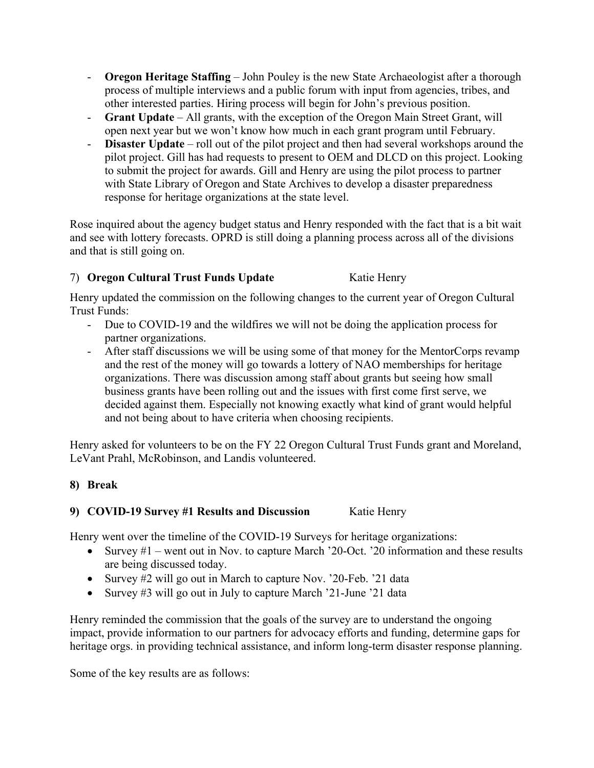- **Oregon Heritage Staffing** John Pouley is the new State Archaeologist after a thorough process of multiple interviews and a public forum with input from agencies, tribes, and other interested parties. Hiring process will begin for John's previous position.
- **Grant Update** All grants, with the exception of the Oregon Main Street Grant, will open next year but we won't know how much in each grant program until February.
- **Disaster Update** roll out of the pilot project and then had several workshops around the pilot project. Gill has had requests to present to OEM and DLCD on this project. Looking to submit the project for awards. Gill and Henry are using the pilot process to partner with State Library of Oregon and State Archives to develop a disaster preparedness response for heritage organizations at the state level.

Rose inquired about the agency budget status and Henry responded with the fact that is a bit wait and see with lottery forecasts. OPRD is still doing a planning process across all of the divisions and that is still going on.

# 7) **Oregon Cultural Trust Funds Update** Katie Henry

Henry updated the commission on the following changes to the current year of Oregon Cultural Trust Funds:

- Due to COVID-19 and the wildfires we will not be doing the application process for partner organizations.
- After staff discussions we will be using some of that money for the MentorCorps revamp and the rest of the money will go towards a lottery of NAO memberships for heritage organizations. There was discussion among staff about grants but seeing how small business grants have been rolling out and the issues with first come first serve, we decided against them. Especially not knowing exactly what kind of grant would helpful and not being about to have criteria when choosing recipients.

Henry asked for volunteers to be on the FY 22 Oregon Cultural Trust Funds grant and Moreland, LeVant Prahl, McRobinson, and Landis volunteered.

# **8) Break**

## **9) COVID-19 Survey #1 Results and Discussion** Katie Henry

Henry went over the timeline of the COVID-19 Surveys for heritage organizations:

- Survey  $#1$  went out in Nov. to capture March '20-Oct. '20 information and these results are being discussed today.
- Survey #2 will go out in March to capture Nov. '20-Feb. '21 data
- Survey #3 will go out in July to capture March '21-June '21 data

Henry reminded the commission that the goals of the survey are to understand the ongoing impact, provide information to our partners for advocacy efforts and funding, determine gaps for heritage orgs. in providing technical assistance, and inform long-term disaster response planning.

Some of the key results are as follows: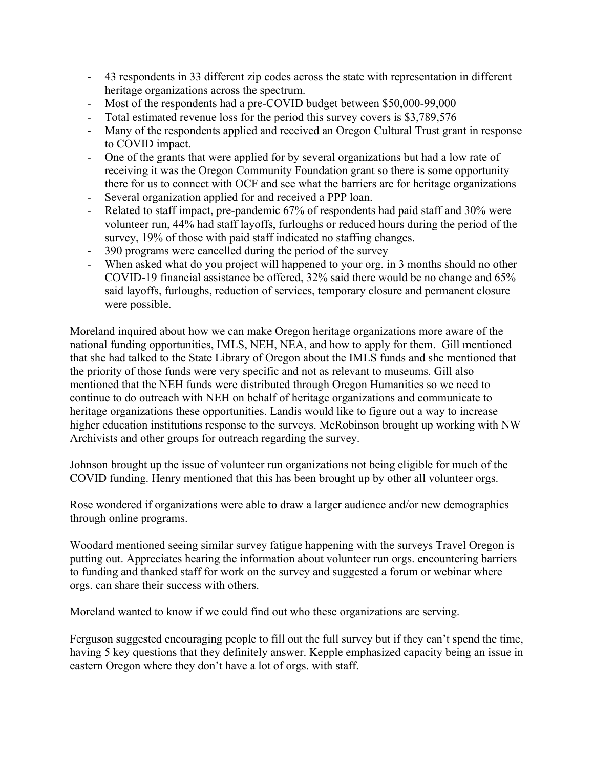- 43 respondents in 33 different zip codes across the state with representation in different heritage organizations across the spectrum.
- Most of the respondents had a pre-COVID budget between \$50,000-99,000
- Total estimated revenue loss for the period this survey covers is \$3,789,576
- Many of the respondents applied and received an Oregon Cultural Trust grant in response to COVID impact.
- One of the grants that were applied for by several organizations but had a low rate of receiving it was the Oregon Community Foundation grant so there is some opportunity there for us to connect with OCF and see what the barriers are for heritage organizations
- Several organization applied for and received a PPP loan.
- Related to staff impact, pre-pandemic 67% of respondents had paid staff and 30% were volunteer run, 44% had staff layoffs, furloughs or reduced hours during the period of the survey, 19% of those with paid staff indicated no staffing changes.
- 390 programs were cancelled during the period of the survey
- When asked what do you project will happened to your org. in 3 months should no other COVID-19 financial assistance be offered, 32% said there would be no change and 65% said layoffs, furloughs, reduction of services, temporary closure and permanent closure were possible.

Moreland inquired about how we can make Oregon heritage organizations more aware of the national funding opportunities, IMLS, NEH, NEA, and how to apply for them. Gill mentioned that she had talked to the State Library of Oregon about the IMLS funds and she mentioned that the priority of those funds were very specific and not as relevant to museums. Gill also mentioned that the NEH funds were distributed through Oregon Humanities so we need to continue to do outreach with NEH on behalf of heritage organizations and communicate to heritage organizations these opportunities. Landis would like to figure out a way to increase higher education institutions response to the surveys. McRobinson brought up working with NW Archivists and other groups for outreach regarding the survey.

Johnson brought up the issue of volunteer run organizations not being eligible for much of the COVID funding. Henry mentioned that this has been brought up by other all volunteer orgs.

Rose wondered if organizations were able to draw a larger audience and/or new demographics through online programs.

Woodard mentioned seeing similar survey fatigue happening with the surveys Travel Oregon is putting out. Appreciates hearing the information about volunteer run orgs. encountering barriers to funding and thanked staff for work on the survey and suggested a forum or webinar where orgs. can share their success with others.

Moreland wanted to know if we could find out who these organizations are serving.

Ferguson suggested encouraging people to fill out the full survey but if they can't spend the time, having 5 key questions that they definitely answer. Kepple emphasized capacity being an issue in eastern Oregon where they don't have a lot of orgs. with staff.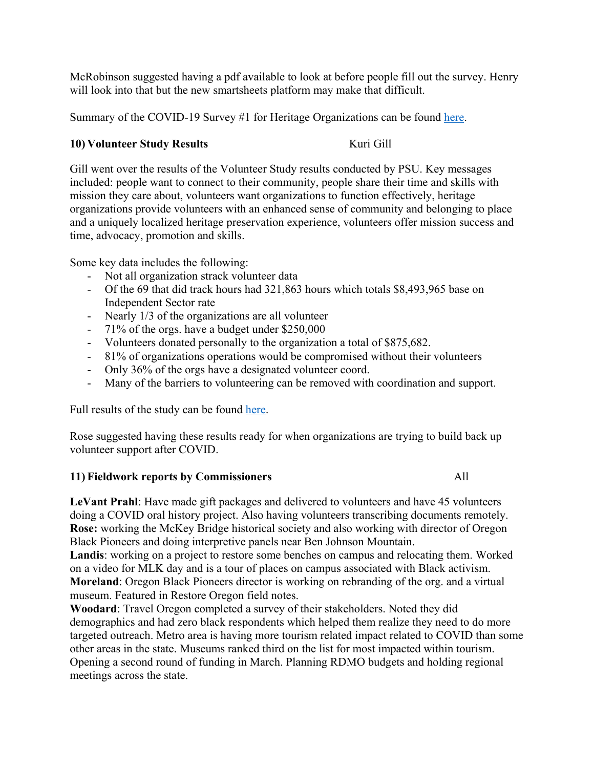McRobinson suggested having a pdf available to look at before people fill out the survey. Henry will look into that but the new smartsheets platform may make that difficult.

Summary of the COVID-19 Survey #1 for Heritage Organizations can be found here.

## **10) Volunteer Study Results Kuri Gill**

Gill went over the results of the Volunteer Study results conducted by PSU. Key messages included: people want to connect to their community, people share their time and skills with mission they care about, volunteers want organizations to function effectively, heritage organizations provide volunteers with an enhanced sense of community and belonging to place and a uniquely localized heritage preservation experience, volunteers offer mission success and time, advocacy, promotion and skills.

Some key data includes the following:

- Not all organization strack volunteer data
- Of the 69 that did track hours had 321,863 hours which totals \$8,493,965 base on Independent Sector rate
- Nearly 1/3 of the organizations are all volunteer
- 71% of the orgs. have a budget under \$250,000
- Volunteers donated personally to the organization a total of \$875,682.
- 81% of organizations operations would be compromised without their volunteers
- Only 36% of the orgs have a designated volunteer coord.
- Many of the barriers to volunteering can be removed with coordination and support.

Full results of the study can be found here.

Rose suggested having these results ready for when organizations are trying to build back up volunteer support after COVID.

### **11) Fieldwork reports by Commissioners** All

**LeVant Prahl**: Have made gift packages and delivered to volunteers and have 45 volunteers doing a COVID oral history project. Also having volunteers transcribing documents remotely. **Rose:** working the McKey Bridge historical society and also working with director of Oregon Black Pioneers and doing interpretive panels near Ben Johnson Mountain. **Landis**: working on a project to restore some benches on campus and relocating them. Worked on a video for MLK day and is a tour of places on campus associated with Black activism. **Moreland**: Oregon Black Pioneers director is working on rebranding of the org. and a virtual museum. Featured in Restore Oregon field notes.

**Woodard**: Travel Oregon completed a survey of their stakeholders. Noted they did demographics and had zero black respondents which helped them realize they need to do more targeted outreach. Metro area is having more tourism related impact related to COVID than some other areas in the state. Museums ranked third on the list for most impacted within tourism. Opening a second round of funding in March. Planning RDMO budgets and holding regional meetings across the state.